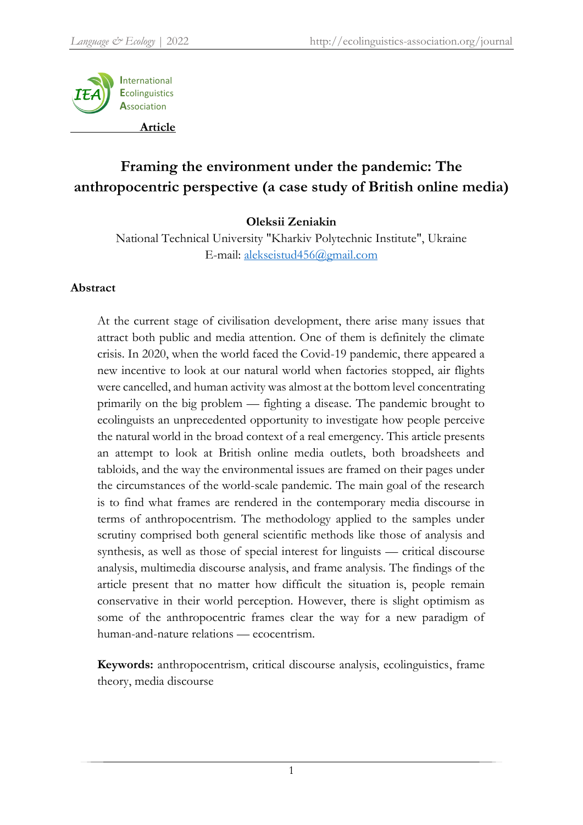

# **Framing the environment under the pandemic: The anthropocentric perspective (a case study of British online media)**

# **Oleksii Zeniakin**

National Technical University "Kharkiv Polytechnic Institute", Ukraine E-mail: [alekseistud456@gmail.com](mailto:alekseistud456@gmail.com)

## **Abstract**

At the current stage of civilisation development, there arise many issues that attract both public and media attention. One of them is definitely the climate crisis. In 2020, when the world faced the Covid-19 pandemic, there appeared a new incentive to look at our natural world when factories stopped, air flights were cancelled, and human activity was almost at the bottom level concentrating primarily on the big problem — fighting a disease. The pandemic brought to ecolinguists an unprecedented opportunity to investigate how people perceive the natural world in the broad context of a real emergency. This article presents an attempt to look at British online media outlets, both broadsheets and tabloids, and the way the environmental issues are framed on their pages under the circumstances of the world-scale pandemic. The main goal of the research is to find what frames are rendered in the contemporary media discourse in terms of anthropocentrism. The methodology applied to the samples under scrutiny comprised both general scientific methods like those of analysis and synthesis, as well as those of special interest for linguists — critical discourse analysis, multimedia discourse analysis, and frame analysis. The findings of the article present that no matter how difficult the situation is, people remain conservative in their world perception. However, there is slight optimism as some of the anthropocentric frames clear the way for a new paradigm of human-and-nature relations — ecocentrism.

**Keywords:** anthropocentrism, critical discourse analysis, ecolinguistics, frame theory, media discourse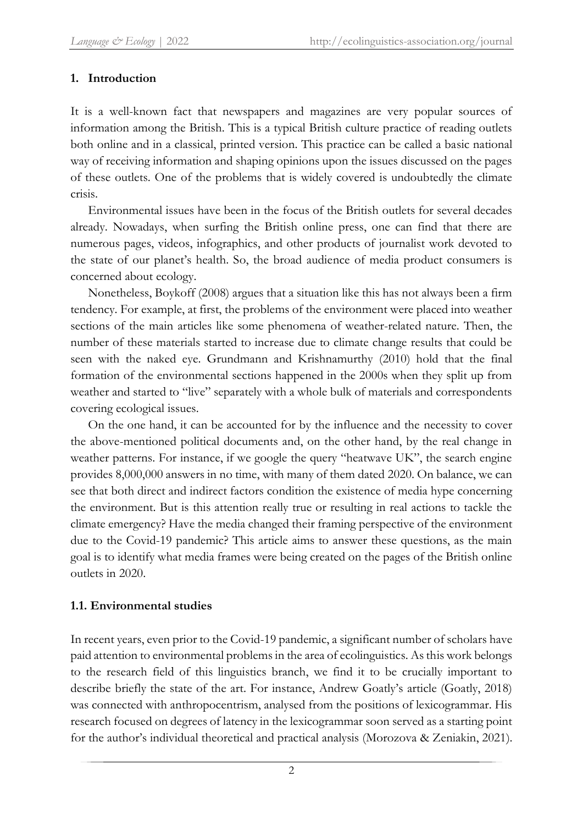# **1. Introduction**

It is a well-known fact that newspapers and magazines are very popular sources of information among the British. This is a typical British culture practice of reading outlets both online and in a classical, printed version. This practice can be called a basic national way of receiving information and shaping opinions upon the issues discussed on the pages of these outlets. One of the problems that is widely covered is undoubtedly the climate crisis.

Environmental issues have been in the focus of the British outlets for several decades already. Nowadays, when surfing the British online press, one can find that there are numerous pages, videos, infographics, and other products of journalist work devoted to the state of our planet's health. So, the broad audience of media product consumers is concerned about ecology.

Nonetheless, Boykoff (2008) argues that a situation like this has not always been a firm tendency. For example, at first, the problems of the environment were placed into weather sections of the main articles like some phenomena of weather-related nature. Then, the number of these materials started to increase due to climate change results that could be seen with the naked eye. Grundmann and Krishnamurthy (2010) hold that the final formation of the environmental sections happened in the 2000s when they split up from weather and started to "live" separately with a whole bulk of materials and correspondents covering ecological issues.

On the one hand, it can be accounted for by the influence and the necessity to cover the above-mentioned political documents and, on the other hand, by the real change in weather patterns. For instance, if we google the query "heatwave UK", the search engine provides 8,000,000 answers in no time, with many of them dated 2020. On balance, we can see that both direct and indirect factors condition the existence of media hype concerning the environment. But is this attention really true or resulting in real actions to tackle the climate emergency? Have the media changed their framing perspective of the environment due to the Covid-19 pandemic? This article aims to answer these questions, as the main goal is to identify what media frames were being created on the pages of the British online outlets in 2020.

# **1.1. Environmental studies**

In recent years, even prior to the Covid-19 pandemic, a significant number of scholars have paid attention to environmental problems in the area of ecolinguistics. As this work belongs to the research field of this linguistics branch, we find it to be crucially important to describe briefly the state of the art. For instance, Andrew Goatly's article (Goatly, 2018) was connected with anthropocentrism, analysed from the positions of lexicogrammar. His research focused on degrees of latency in the lexicogrammar soon served as a starting point for the author's individual theoretical and practical analysis (Morozova & Zeniakin, 2021).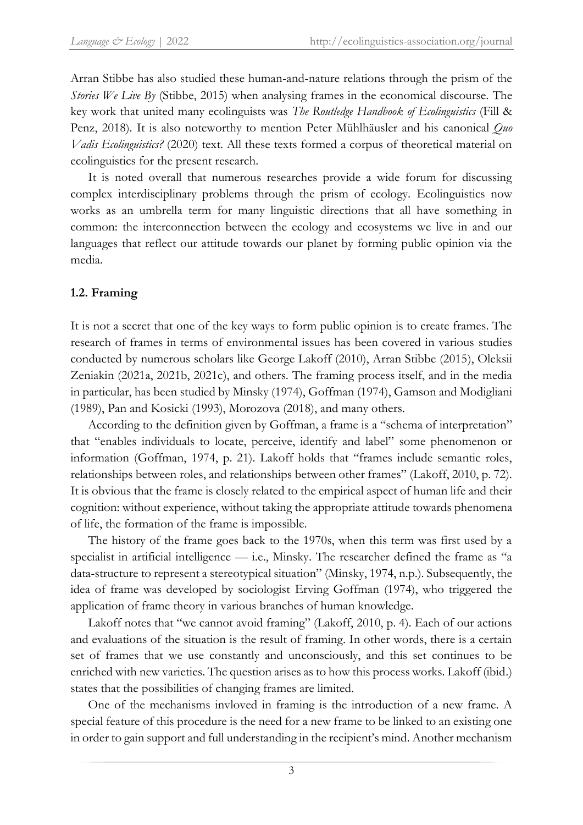Arran Stibbe has also studied these human-and-nature relations through the prism of the *Stories We Live By (Stibbe, 2015)* when analysing frames in the economical discourse. The key work that united many ecolinguists was *The Routledge Handbook of Ecolinguistics* (Fill & Penz, 2018). It is also noteworthy to mention Peter Mühlhäusler and his canonical *Quo Vadis Ecolinguistics?* (2020) text. All these texts formed a corpus of theoretical material on ecolinguistics for the present research.

It is noted overall that numerous researches provide a wide forum for discussing complex interdisciplinary problems through the prism of ecology. Ecolinguistics now works as an umbrella term for many linguistic directions that all have something in common: the interconnection between the ecology and ecosystems we live in and our languages that reflect our attitude towards our planet by forming public opinion via the media.

## **1.2. Framing**

It is not a secret that one of the key ways to form public opinion is to create frames. The research of frames in terms of environmental issues has been covered in various studies conducted by numerous scholars like George Lakoff (2010), Arran Stibbe (2015), Oleksii Zeniakin (2021a, 2021b, 2021c), and others. The framing process itself, and in the media in particular, has been studied by Minsky (1974), Goffman (1974), Gamson and Modigliani (1989), Pan and Kosicki (1993), Morozova (2018), and many others.

According to the definition given by Goffman, a frame is a "schema of interpretation" that "enables individuals to locate, perceive, identify and label" some phenomenon or information (Goffman, 1974, p. 21). Lakoff holds that "frames include semantic roles, relationships between roles, and relationships between other frames" (Lakoff, 2010, p. 72). It is obvious that the frame is closely related to the empirical aspect of human life and their cognition: without experience, without taking the appropriate attitude towards phenomena of life, the formation of the frame is impossible.

The history of the frame goes back to the 1970s, when this term was first used by a specialist in artificial intelligence — i.e., Minsky. The researcher defined the frame as "a data-structure to represent a stereotypical situation" (Minsky, 1974, n.p.). Subsequently, the idea of frame was developed by sociologist Erving Goffman (1974), who triggered the application of frame theory in various branches of human knowledge.

Lakoff notes that "we cannot avoid framing" (Lakoff, 2010, p. 4). Each of our actions and evaluations of the situation is the result of framing. In other words, there is a certain set of frames that we use constantly and unconsciously, and this set continues to be enriched with new varieties. The question arises as to how this process works. Lakoff (ibid.) states that the possibilities of changing frames are limited.

One of the mechanisms invloved in framing is the introduction of a new frame. A special feature of this procedure is the need for a new frame to be linked to an existing one in order to gain support and full understanding in the recipient's mind. Another mechanism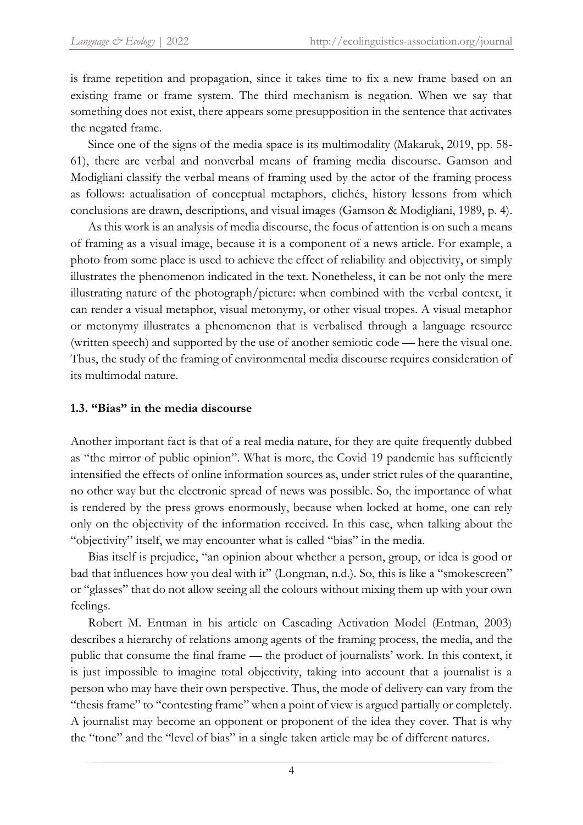is frame repetition and propagation, since it takes time to fix a new frame based on an existing frame or frame system. The third mechanism is negation. When we say that something does not exist, there appears some presupposition in the sentence that activates the negated frame.

Since one of the signs of the media space is its multimodality (Makaruk, 2019, pp. 58- 61), there are verbal and nonverbal means of framing media discourse. Gamson and Modigliani classify the verbal means of framing used by the actor of the framing process as follows: actualisation of conceptual metaphors, clichés, history lessons from which conclusions are drawn, descriptions, and visual images (Gamson & Modigliani, 1989, p. 4).

As this work is an analysis of media discourse, the focus of attention is on such a means of framing as a visual image, because it is a component of a news article. For example, a photo from some place is used to achieve the effect of reliability and objectivity, or simply illustrates the phenomenon indicated in the text. Nonetheless, it can be not only the mere illustrating nature of the photograph/picture: when combined with the verbal context, it can render a visual metaphor, visual metonymy, or other visual tropes. A visual metaphor or metonymy illustrates a phenomenon that is verbalised through a language resource (written speech) and supported by the use of another semiotic code — here the visual one. Thus, the study of the framing of environmental media discourse requires consideration of its multimodal nature.

## **1.3. "Bias" in the media discourse**

Another important fact is that of a real media nature, for they are quite frequently dubbed as "the mirror of public opinion". What is more, the Covid-19 pandemic has sufficiently intensified the effects of online information sources as, under strict rules of the quarantine, no other way but the electronic spread of news was possible. So, the importance of what is rendered by the press grows enormously, because when locked at home, one can rely only on the objectivity of the information received. In this case, when talking about the "objectivity" itself, we may encounter what is called "bias" in the media.

Bias itself is prejudice, "an [opinion](https://www.ldoceonline.com/dictionary/opinion) about whether a person, group, or idea is good or bad that [influences](https://www.ldoceonline.com/dictionary/influence) how you deal with it" (Longman, n.d.). So, this is like a "smokescreen" or "glasses" that do not allow seeing all the colours without mixing them up with your own feelings.

Robert M. Entman in his article on Cascading Activation Model (Entman, 2003) describes a hierarchy of relations among agents of the framing process, the media, and the public that consume the final frame — the product of journalists' work. In this context, it is just impossible to imagine total objectivity, taking into account that a journalist is a person who may have their own perspective. Thus, the mode of delivery can vary from the "thesis frame" to "contesting frame" when a point of view is argued partially or completely. A journalist may become an opponent or proponent of the idea they cover. That is why the "tone" and the "level of bias" in a single taken article may be of different natures.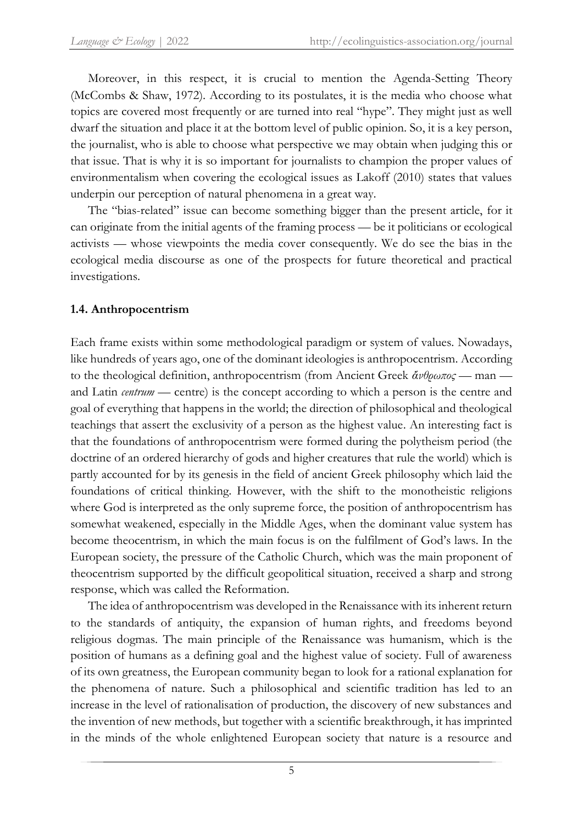Moreover, in this respect, it is crucial to mention the Agenda-Setting Theory (McCombs & Shaw, 1972). According to its postulates, it is the media who choose what topics are covered most frequently or are turned into real "hype". They might just as well dwarf the situation and place it at the bottom level of public opinion. So, it is a key person, the journalist, who is able to choose what perspective we may obtain when judging this or that issue. That is why it is so important for journalists to champion the proper values of environmentalism when covering the ecological issues as Lakoff (2010) states that values underpin our perception of natural phenomena in a great way.

The "bias-related" issue can become something bigger than the present article, for it can originate from the initial agents of the framing process — be it politicians or ecological activists — whose viewpoints the media cover consequently. We do see the bias in the ecological media discourse as one of the prospects for future theoretical and practical investigations.

## **1.4. Anthropocentrism**

Each frame exists within some methodological paradigm or system of values. Nowadays, like hundreds of years ago, one of the dominant ideologies is anthropocentrism. According to the theological definition, anthropocentrism (from Ancient Greek *ἄνθρωπος* — man and Latin *centrum* — centre) is the concept according to which a person is the centre and goal of everything that happens in the world; the direction of philosophical and theological teachings that assert the exclusivity of a person as the highest value. An interesting fact is that the foundations of anthropocentrism were formed during the polytheism period (the doctrine of an ordered hierarchy of gods and higher creatures that rule the world) which is partly accounted for by its genesis in the field of ancient Greek philosophy which laid the foundations of critical thinking. However, with the shift to the monotheistic religions where God is interpreted as the only supreme force, the position of anthropocentrism has somewhat weakened, especially in the Middle Ages, when the dominant value system has become theocentrism, in which the main focus is on the fulfilment of God's laws. In the European society, the pressure of the Catholic Church, which was the main proponent of theocentrism supported by the difficult geopolitical situation, received a sharp and strong response, which was called the Reformation.

The idea of anthropocentrism was developed in the Renaissance with its inherent return to the standards of antiquity, the expansion of human rights, and freedoms beyond religious dogmas. The main principle of the Renaissance was humanism, which is the position of humans as a defining goal and the highest value of society. Full of awareness of its own greatness, the European community began to look for a rational explanation for the phenomena of nature. Such a philosophical and scientific tradition has led to an increase in the level of rationalisation of production, the discovery of new substances and the invention of new methods, but together with a scientific breakthrough, it has imprinted in the minds of the whole enlightened European society that nature is a resource and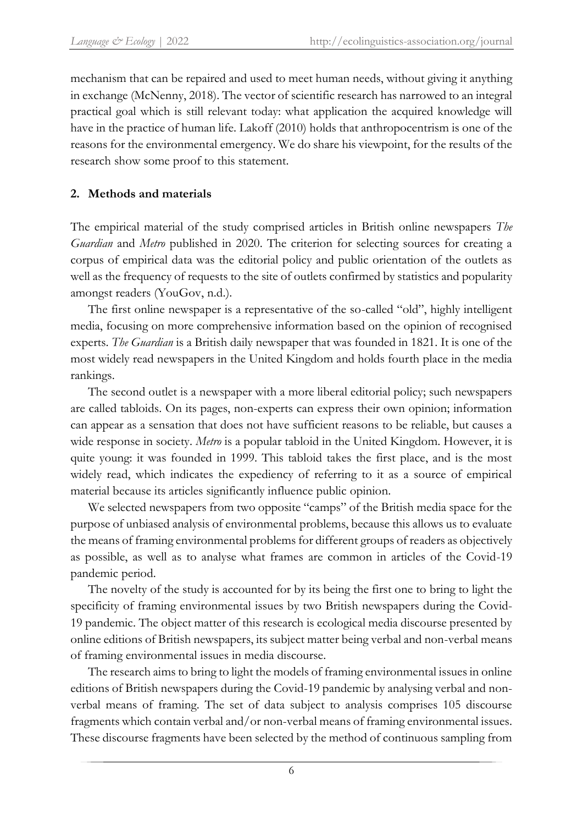mechanism that can be repaired and used to meet human needs, without giving it anything in exchange (McNenny, 2018). The vector of scientific research has narrowed to an integral practical goal which is still relevant today: what application the acquired knowledge will have in the practice of human life. Lakoff (2010) holds that anthropocentrism is one of the reasons for the environmental emergency. We do share his viewpoint, for the results of the research show some proof to this statement.

## **2. Methods and materials**

The empirical material of the study comprised articles in British online newspapers *The Guardian* and *Metro* published in 2020. The criterion for selecting sources for creating a corpus of empirical data was the editorial policy and public orientation of the outlets as well as the frequency of requests to the site of outlets confirmed by statistics and popularity amongst readers (YouGov, n.d.).

The first online newspaper is a representative of the so-called "old", highly intelligent media, focusing on more comprehensive information based on the opinion of recognised experts. *The Guardian* is a British daily newspaper that was founded in 1821. It is one of the most widely read newspapers in the United Kingdom and holds fourth place in the media rankings.

The second outlet is a newspaper with a more liberal editorial policy; such newspapers are called tabloids. On its pages, non-experts can express their own opinion; information can appear as a sensation that does not have sufficient reasons to be reliable, but causes a wide response in society. *Metro* is a popular tabloid in the United Kingdom. However, it is quite young: it was founded in 1999. This tabloid takes the first place, and is the most widely read, which indicates the expediency of referring to it as a source of empirical material because its articles significantly influence public opinion.

We selected newspapers from two opposite "camps" of the British media space for the purpose of unbiased analysis of environmental problems, because this allows us to evaluate the means of framing environmental problems for different groups of readers as objectively as possible, as well as to analyse what frames are common in articles of the Covid-19 pandemic period.

The novelty of the study is accounted for by its being the first one to bring to light the specificity of framing environmental issues by two British newspapers during the Covid-19 pandemic. The object matter of this research is ecological media discourse presented by online editions of British newspapers, its subject matter being verbal and non-verbal means of framing environmental issues in media discourse.

The research aims to bring to light the models of framing environmental issues in online editions of British newspapers during the Covid-19 pandemic by analysing verbal and nonverbal means of framing. The set of data subject to analysis comprises 105 discourse fragments which contain verbal and/or non-verbal means of framing environmental issues. These discourse fragments have been selected by the method of continuous sampling from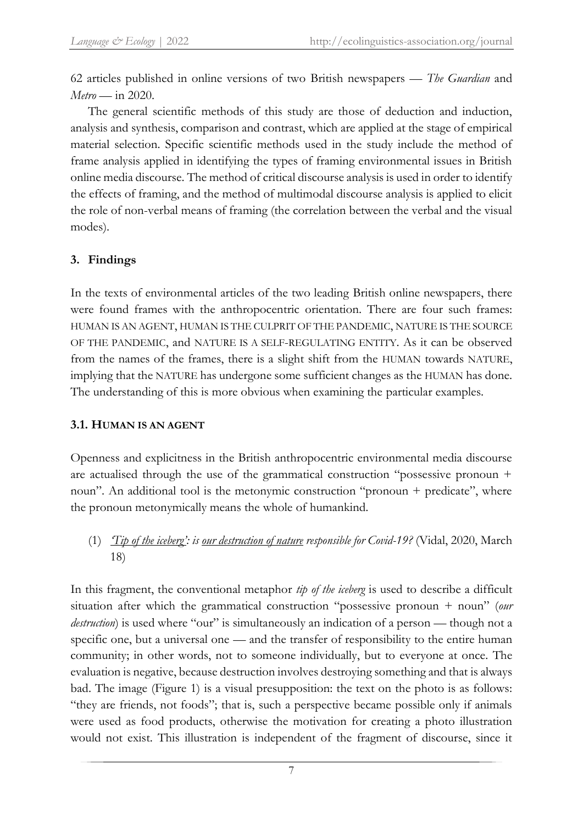62 articles published in online versions of two British newspapers — *The Guardian* and *Metro* — in 2020.

The general scientific methods of this study are those of deduction and induction, analysis and synthesis, comparison and contrast, which are applied at the stage of empirical material selection. Specific scientific methods used in the study include the method of frame analysis applied in identifying the types of framing environmental issues in British online media discourse. The method of critical discourse analysis is used in order to identify the effects of framing, and the method of multimodal discourse analysis is applied to elicit the role of non-verbal means of framing (the correlation between the verbal and the visual modes).

# **3. Findings**

In the texts of environmental articles of the two leading British online newspapers, there were found frames with the anthropocentric orientation. There are four such frames: HUMAN IS AN AGENT, HUMAN IS THE CULPRIT OF THE PANDEMIC, NATURE IS THE SOURCE OF THE PANDEMIC, and NATURE IS A SELF-REGULATING ENTITY. As it can be observed from the names of the frames, there is a slight shift from the HUMAN towards NATURE, implying that the NATURE has undergone some sufficient changes as the HUMAN has done. The understanding of this is more obvious when examining the particular examples.

# **3.1. HUMAN IS AN AGENT**

Openness and explicitness in the British anthropocentric environmental media discourse are actualised through the use of the grammatical construction "possessive pronoun + noun". An additional tool is the metonymic construction "pronoun + predicate", where the pronoun metonymically means the whole of humankind.

(1) *'Tip of the iceberg': is our destruction of nature responsible for Covid-19?* (Vidal, 2020, March 18)

In this fragment, the conventional metaphor *tip of the iceberg* is used to describe a difficult situation after which the grammatical construction "possessive pronoun + noun" (*our destruction*) is used where "our" is simultaneously an indication of a person — though not a specific one, but a universal one — and the transfer of responsibility to the entire human community; in other words, not to someone individually, but to everyone at once. The evaluation is negative, because destruction involves destroying something and that is always bad. The image (Figure 1) is a visual presupposition: the text on the photo is as follows: "they are friends, not foods"; that is, such a perspective became possible only if animals were used as food products, otherwise the motivation for creating a photo illustration would not exist. This illustration is independent of the fragment of discourse, since it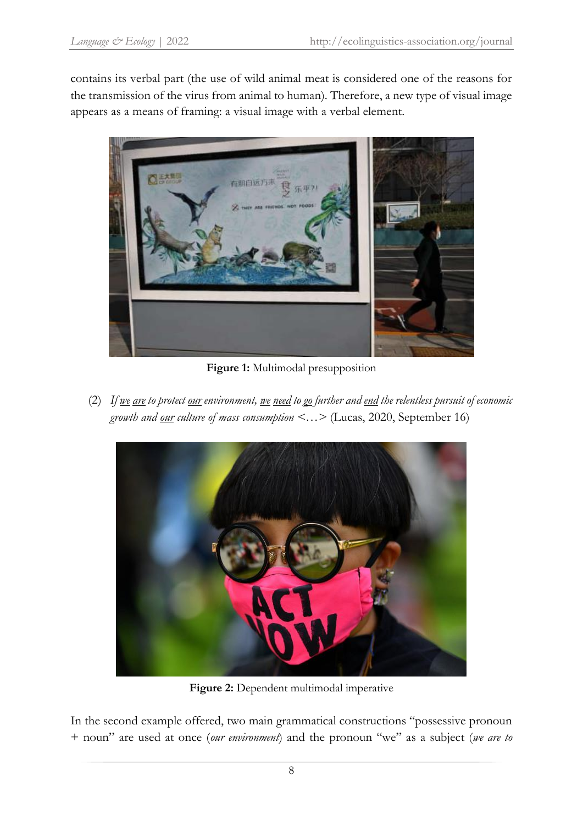contains its verbal part (the use of wild animal meat is considered one of the reasons for the transmission of the virus from animal to human). Therefore, a new type of visual image appears as a means of framing: a visual image with a verbal element.



**Figure 1:** Multimodal presupposition

(2) *If we are to protect our environment, we need to go further and end the relentless pursuit of economic growth and our culture of mass consumption <…>* (Lucas, 2020, September 16)



**Figure 2:** Dependent multimodal imperative

In the second example offered, two main grammatical constructions "possessive pronoun + noun" are used at once (*our environment*) and the pronoun "we" as a subject (*we are to*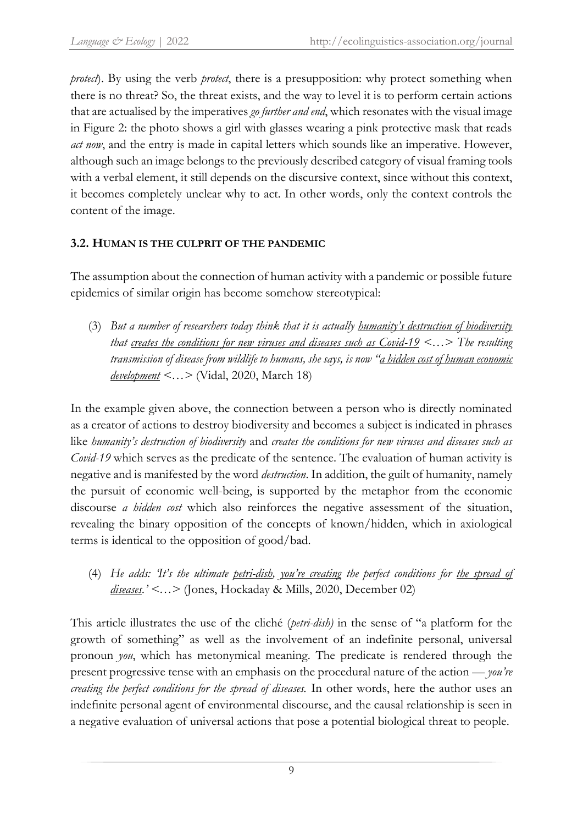*protect*). By using the verb *protect*, there is a presupposition: why protect something when there is no threat? So, the threat exists, and the way to level it is to perform certain actions that are actualised by the imperatives *go further and end*, which resonates with the visual image in Figure 2: the photo shows a girl with glasses wearing a pink protective mask that reads *act now*, and the entry is made in capital letters which sounds like an imperative. However, although such an image belongs to the previously described category of visual framing tools with a verbal element, it still depends on the discursive context, since without this context, it becomes completely unclear why to act. In other words, only the context controls the content of the image.

# **3.2. HUMAN IS THE CULPRIT OF THE PANDEMIC**

The assumption about the connection of human activity with a pandemic or possible future epidemics of similar origin has become somehow stereotypical:

(3) *But a number of researchers today think that it is actually humanity's destruction of biodiversity that creates the conditions for new viruses and diseases such as Covid-19 <…> The resulting transmission of disease from wildlife to humans, she says, is now "a hidden cost of human economic development <…>* (Vidal, 2020, March 18)

In the example given above, the connection between a person who is directly nominated as a creator of actions to destroy biodiversity and becomes a subject is indicated in phrases like *humanity's destruction of biodiversity* and *creates the conditions for new viruses and diseases such as Covid-19* which serves as the predicate of the sentence. The evaluation of human activity is negative and is manifested by the word *destruction*. In addition, the guilt of humanity, namely the pursuit of economic well-being, is supported by the metaphor from the economic discourse *a hidden cost* which also reinforces the negative assessment of the situation, revealing the binary opposition of the concepts of known/hidden, which in axiological terms is identical to the opposition of good/bad.

(4) *He adds: 'It's the ultimate petri-dish, you're creating the perfect conditions for the spread of diseases.' <…>* (Jones, Hockaday & Mills, 2020, December 02)

This article illustrates the use of the cliché (*petri-dish)* in the sense of "a platform for the growth of something" as well as the involvement of an indefinite personal, universal pronoun *you*, which has metonymical meaning. The predicate is rendered through the present progressive tense with an emphasis on the procedural nature of the action — *you're creating the perfect conditions for the spread of diseases.* In other words, here the author uses an indefinite personal agent of environmental discourse, and the causal relationship is seen in a negative evaluation of universal actions that pose a potential biological threat to people.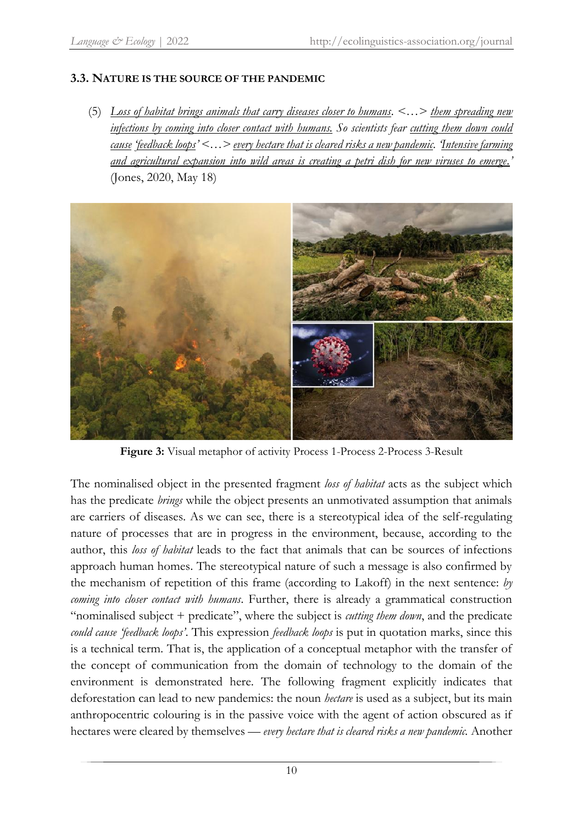## **3.3. NATURE IS THE SOURCE OF THE PANDEMIC**

(5) *Loss of habitat brings animals that carry diseases closer to humans. <…> them spreading new infections by coming into closer contact with humans. So scientists fear cutting them down could cause 'feedback loops' <…> every hectare that is cleared risks a new pandemic. 'Intensive farming and agricultural expansion into wild areas is creating a petri dish for new viruses to emerge.'* (Jones, 2020, May 18)



**Figure 3:** Visual metaphor of activity Process 1-Process 2-Process 3-Result

The nominalised object in the presented fragment *loss of habitat* acts as the subject which has the predicate *brings* while the object presents an unmotivated assumption that animals are carriers of diseases. As we can see, there is a stereotypical idea of the self-regulating nature of processes that are in progress in the environment, because, according to the author, this *loss of habitat* leads to the fact that animals that can be sources of infections approach human homes. The stereotypical nature of such a message is also confirmed by the mechanism of repetition of this frame (according to Lakoff) in the next sentence: *by coming into closer contact with humans*. Further, there is already a grammatical construction "nominalised subject + predicate", where the subject is *cutting them down*, and the predicate *could cause 'feedback loops'*. This expression *feedback loops* is put in quotation marks, since this is a technical term. That is, the application of a conceptual metaphor with the transfer of the concept of communication from the domain of technology to the domain of the environment is demonstrated here. The following fragment explicitly indicates that deforestation can lead to new pandemics: the noun *hectare* is used as a subject, but its main anthropocentric colouring is in the passive voice with the agent of action obscured as if hectares were cleared by themselves — *every hectare that is cleared risks a new pandemic.* Another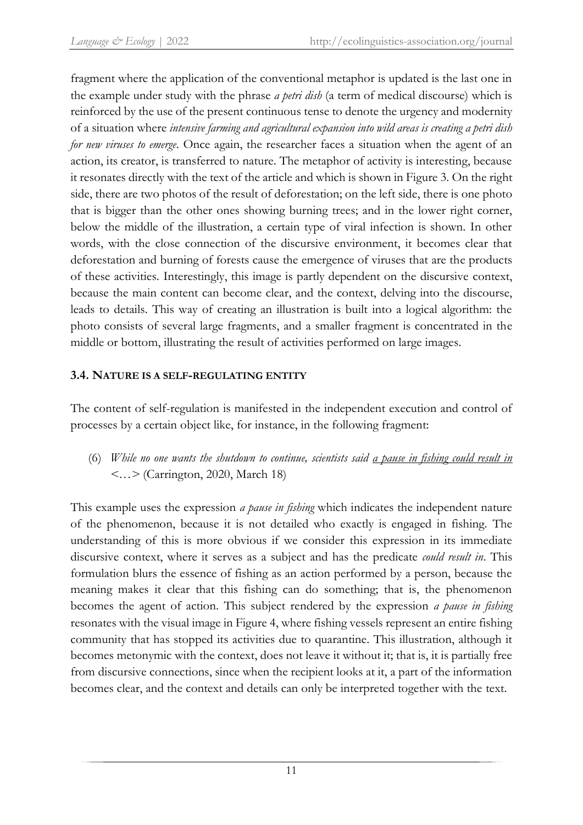fragment where the application of the conventional metaphor is updated is the last one in the example under study with the phrase *a petri dish* (a term of medical discourse) which is reinforced by the use of the present continuous tense to denote the urgency and modernity of a situation where *intensive farming and agricultural expansion into wild areas is creating a petri dish for new viruses to emerge*. Once again, the researcher faces a situation when the agent of an action, its creator, is transferred to nature. The metaphor of activity is interesting, because it resonates directly with the text of the article and which is shown in Figure 3. On the right side, there are two photos of the result of deforestation; on the left side, there is one photo that is bigger than the other ones showing burning trees; and in the lower right corner, below the middle of the illustration, a certain type of viral infection is shown. In other words, with the close connection of the discursive environment, it becomes clear that deforestation and burning of forests cause the emergence of viruses that are the products of these activities. Interestingly, this image is partly dependent on the discursive context, because the main content can become clear, and the context, delving into the discourse, leads to details. This way of creating an illustration is built into a logical algorithm: the photo consists of several large fragments, and a smaller fragment is concentrated in the middle or bottom, illustrating the result of activities performed on large images.

# **3.4. NATURE IS A SELF-REGULATING ENTITY**

The content of self-regulation is manifested in the independent execution and control of processes by a certain object like, for instance, in the following fragment:

(6) *While no one wants the shutdown to continue, scientists said a pause in fishing could result in <…>* (Carrington, 2020, March 18)

This example uses the expression *a pause in fishing* which indicates the independent nature of the phenomenon, because it is not detailed who exactly is engaged in fishing. The understanding of this is more obvious if we consider this expression in its immediate discursive context, where it serves as a subject and has the predicate *could result in*. This formulation blurs the essence of fishing as an action performed by a person, because the meaning makes it clear that this fishing can do something; that is, the phenomenon becomes the agent of action. This subject rendered by the expression *a pause in fishing* resonates with the visual image in Figure 4, where fishing vessels represent an entire fishing community that has stopped its activities due to quarantine. This illustration, although it becomes metonymic with the context, does not leave it without it; that is, it is partially free from discursive connections, since when the recipient looks at it, a part of the information becomes clear, and the context and details can only be interpreted together with the text.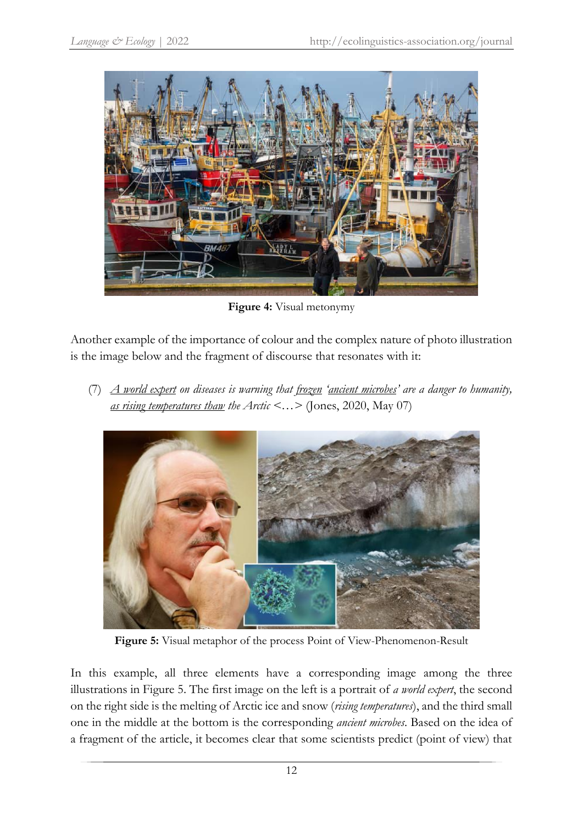

**Figure 4:** Visual metonymy

Another example of the importance of colour and the complex nature of photo illustration is the image below and the fragment of discourse that resonates with it:

(7) *A world expert on diseases is warning that frozen 'ancient microbes' are a danger to humanity, as rising temperatures thaw the Arctic <…>* (Jones, 2020, May 07)



**Figure 5:** Visual metaphor of the process Point of View-Phenomenon-Result

In this example, all three elements have a corresponding image among the three illustrations in Figure 5. The first image on the left is a portrait of *a world expert*, the second on the right side is the melting of Arctic ice and snow (*rising temperatures*), and the third small one in the middle at the bottom is the corresponding *ancient microbes*. Based on the idea of a fragment of the article, it becomes clear that some scientists predict (point of view) that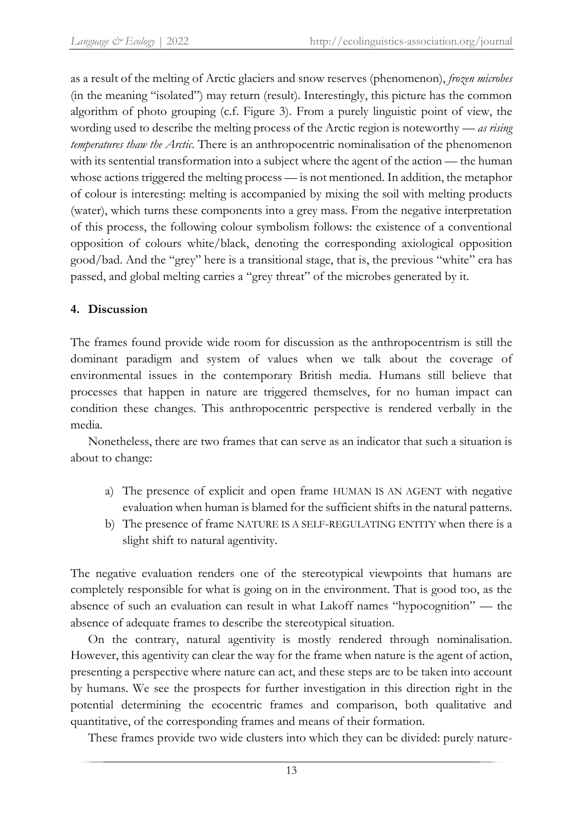as a result of the melting of Arctic glaciers and snow reserves (phenomenon), *frozen microbes* (in the meaning "isolated") may return (result). Interestingly, this picture has the common algorithm of photo grouping (c.f. Figure 3). From a purely linguistic point of view, the wording used to describe the melting process of the Arctic region is noteworthy — *as rising temperatures thaw the Arctic*. There is an anthropocentric nominalisation of the phenomenon with its sentential transformation into a subject where the agent of the action — the human whose actions triggered the melting process — is not mentioned. In addition, the metaphor of colour is interesting: melting is accompanied by mixing the soil with melting products (water), which turns these components into a grey mass. From the negative interpretation of this process, the following colour symbolism follows: the existence of a conventional opposition of colours white/black, denoting the corresponding axiological opposition good/bad. And the "grey" here is a transitional stage, that is, the previous "white" era has passed, and global melting carries a "grey threat" of the microbes generated by it.

# **4. Discussion**

The frames found provide wide room for discussion as the anthropocentrism is still the dominant paradigm and system of values when we talk about the coverage of environmental issues in the contemporary British media. Humans still believe that processes that happen in nature are triggered themselves, for no human impact can condition these changes. This anthropocentric perspective is rendered verbally in the media.

Nonetheless, there are two frames that can serve as an indicator that such a situation is about to change:

- a) The presence of explicit and open frame HUMAN IS AN AGENT with negative evaluation when human is blamed for the sufficient shifts in the natural patterns.
- b) The presence of frame NATURE IS A SELF-REGULATING ENTITY when there is a slight shift to natural agentivity.

The negative evaluation renders one of the stereotypical viewpoints that humans are completely responsible for what is going on in the environment. That is good too, as the absence of such an evaluation can result in what Lakoff names "hypocognition" — the absence of adequate frames to describe the stereotypical situation.

On the contrary, natural agentivity is mostly rendered through nominalisation. However, this agentivity can clear the way for the frame when nature is the agent of action, presenting a perspective where nature can act, and these steps are to be taken into account by humans. We see the prospects for further investigation in this direction right in the potential determining the ecocentric frames and comparison, both qualitative and quantitative, of the corresponding frames and means of their formation.

These frames provide two wide clusters into which they can be divided: purely nature-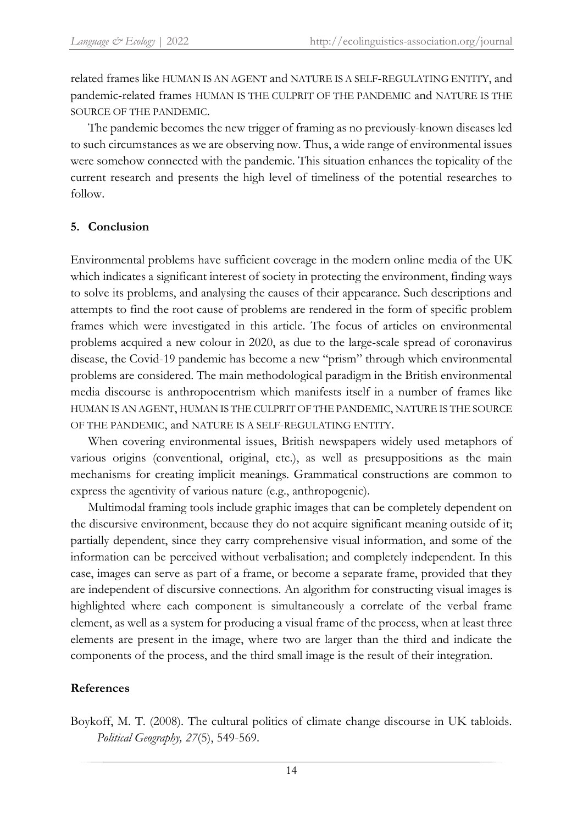related frames like HUMAN IS AN AGENT and NATURE IS A SELF-REGULATING ENTITY, and pandemic-related frames HUMAN IS THE CULPRIT OF THE PANDEMIC and NATURE IS THE SOURCE OF THE PANDEMIC.

The pandemic becomes the new trigger of framing as no previously-known diseases led to such circumstances as we are observing now. Thus, a wide range of environmental issues were somehow connected with the pandemic. This situation enhances the topicality of the current research and presents the high level of timeliness of the potential researches to follow.

## **5. Conclusion**

Environmental problems have sufficient coverage in the modern online media of the UK which indicates a significant interest of society in protecting the environment, finding ways to solve its problems, and analysing the causes of their appearance. Such descriptions and attempts to find the root cause of problems are rendered in the form of specific problem frames which were investigated in this article. The focus of articles on environmental problems acquired a new colour in 2020, as due to the large-scale spread of coronavirus disease, the Covid-19 pandemic has become a new "prism" through which environmental problems are considered. The main methodological paradigm in the British environmental media discourse is anthropocentrism which manifests itself in a number of frames like HUMAN IS AN AGENT, HUMAN IS THE CULPRIT OF THE PANDEMIC, NATURE IS THE SOURCE OF THE PANDEMIC, and NATURE IS A SELF-REGULATING ENTITY.

When covering environmental issues, British newspapers widely used metaphors of various origins (conventional, original, etc.), as well as presuppositions as the main mechanisms for creating implicit meanings. Grammatical constructions are common to express the agentivity of various nature (e.g., anthropogenic).

Multimodal framing tools include graphic images that can be completely dependent on the discursive environment, because they do not acquire significant meaning outside of it; partially dependent, since they carry comprehensive visual information, and some of the information can be perceived without verbalisation; and completely independent. In this case, images can serve as part of a frame, or become a separate frame, provided that they are independent of discursive connections. An algorithm for constructing visual images is highlighted where each component is simultaneously a correlate of the verbal frame element, as well as a system for producing a visual frame of the process, when at least three elements are present in the image, where two are larger than the third and indicate the components of the process, and the third small image is the result of their integration.

# **References**

Boykoff, M. T. (2008). The cultural politics of climate change discourse in UK tabloids. *Political Geography, 27*(5), 549-569.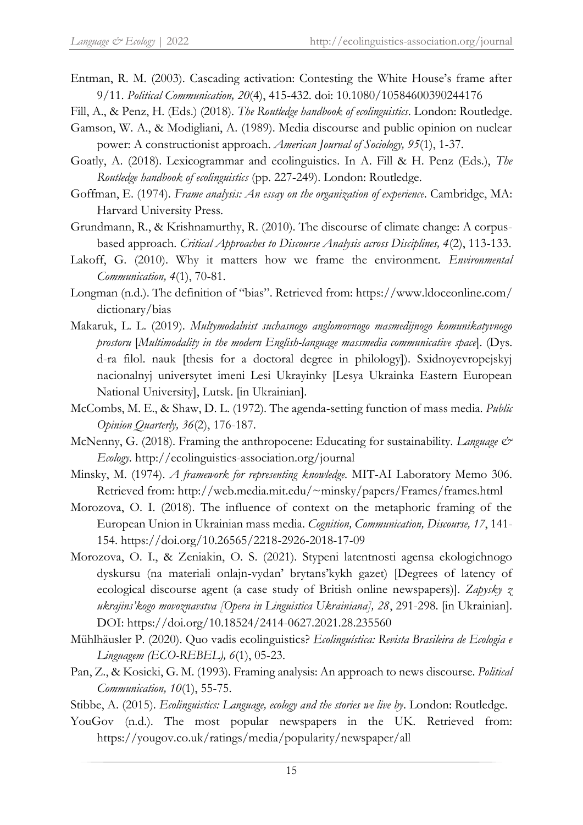- Entman, R. M. (2003). Cascading activation: Contesting the White House's frame after 9/11. *Political Communication, 20*(4), 415-432. doi: 10.1080/10584600390244176
- Fill, A., & Penz, H. (Eds.) (2018). *The Routledge handbook of ecolinguistics*. London: Routledge.
- Gamson, W. A., & Modigliani, A. (1989). Media discourse and public opinion on nuclear power: A constructionist approach. *American Journal of Sociology, 95*(1), 1-37.
- Goatly, A. (2018). Lexicogrammar and ecolinguistics. In A. Fill & H. Penz (Eds.), *The Routledge handbook of ecolinguistics* (pp. 227-249). London: Routledge.
- Goffman, E. (1974). *Frame analysis: An essay on the organization of experience*. Cambridge, MA: Harvard University Press.
- Grundmann, R., & Krishnamurthy, R. (2010). The discourse of climate change: A corpusbased approach. *Critical Approaches to Discourse Analysis across Disciplines, 4*(2), 113-133.
- Lakoff, G. (2010). Why it matters how we frame the environment. *Environmental Communication, 4*(1), 70-81.
- Longman (n.d.). The definition of "bias". Retrieved from: [https://www.ldoceonline.com/](https://www.ldoceonline.com/dictionary/bias) [dictionary/bias](https://www.ldoceonline.com/dictionary/bias)
- Makaruk, L. L. (2019). *Multymodalnist suchasnogo anglomovnogo masmedijnogo komunikatyvnogo prostoru* [*Multimodality in the modern English-language massmedia communicative space*]. (Dys. d-ra filol. nauk [thesis for a doctoral degree in philology]). Sxidnoyevropejskyj nacionalnyj universytet imeni Lesi Ukrayinky [Lesya Ukrainka Eastern European National University], Lutsk. [in Ukrainian].
- McCombs, M. E., & Shaw, D. L. (1972). The agenda-setting function of mass media. *Public Opinion Quarterly, 36*(2), 176-187.
- McNenny, G. (2018). Framing the anthropocene: Educating for sustainability. *Language & Ecology*. http://ecolinguistics-association.org/journal
- Minsky, M. (1974). *A framework for representing knowledge*. MIT-AI Laboratory Memo 306. Retrieved from: http://web.media.mit.edu/~minsky/papers/Frames/frames.html
- Morozova, O. I. (2018). The influence of context on the metaphoric framing of the European Union in Ukrainian mass media. *Cognition, Communication, Discourse, 17*, 141- 154. https://doi.org/10.26565/2218-2926-2018-17-09
- Morozova, O. I., & Zeniakin, O. S. (2021). Stypeni latentnosti agensa ekologichnogo dyskursu (na materiali onlajn-vydan' brytans'kykh gazet) [Degrees of latency of ecological discourse agent (a case study of British online newspapers)]. *Zapysky z ukrajins'kogo movoznavstva [Opera in Linguistica Ukrainiana], 28*, 291-298. [in Ukrainian]. DOI: https://doi.org/10.18524/2414-0627.2021.28.235560
- Mühlhäusler P. (2020). Quo vadis ecolinguistics? *Ecolinguística: Revista Brasileira de Ecologia e Linguagem (ECO-REBEL), 6*(1), 05-23.
- Pan, Z., & Kosicki, G. M. (1993). Framing analysis: An approach to news discourse. *Political Communication, 10*(1), 55-75.
- Stibbe, A. (2015). *Ecolinguistics: Language, ecology and the stories we live by*. London: Routledge.
- YouGov (n.d.). The most popular newspapers in the UK. Retrieved from: https://yougov.co.uk/ratings/media/popularity/newspaper/all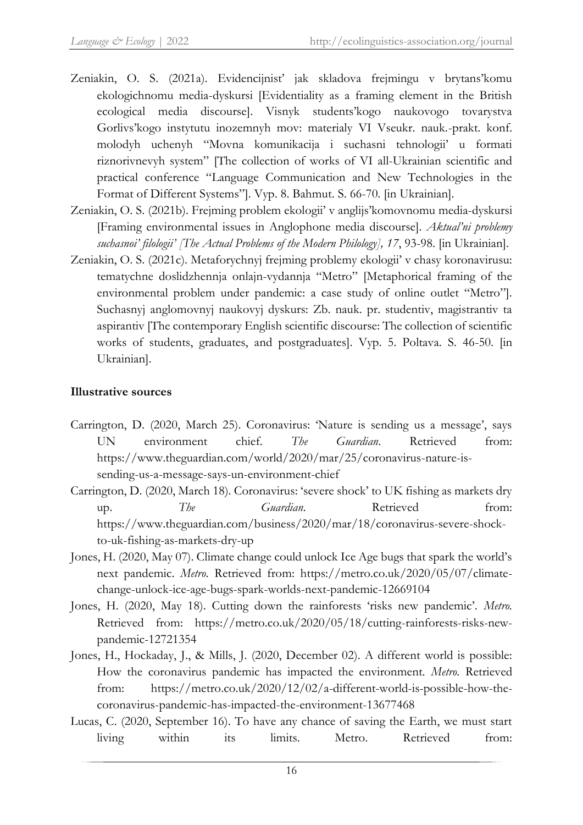- Zeniakin, O. S. (2021a). Evidencijnist' jak skladova frejmingu v brytans'komu ekologichnomu media-dyskursi [Evidentiality as a framing element in the British ecological media discourse]. Visnyk students'kogo naukovogo tovarystva Gorlivs'kogo instytutu inozemnyh mov: materialy VI Vseukr. nauk.-prakt. konf. molodyh uchenyh "Movna komunikacija i suchasni tehnologii' u formati riznorivnevyh system" [The collection of works of VI all-Ukrainian scientific and practical conference "Language Communication and New Technologies in the Format of Different Systems"]. Vyp. 8. Bahmut. S. 66-70. [in Ukrainian].
- Zeniakin, O. S. (2021b). Frejming problem ekologii' v anglijs'komovnomu media-dyskursi [Framing environmental issues in Anglophone media discourse]. *Aktual'ni problemy suchasnoi' filologii' [The Actual Problems of the Modern Philology], 17*, 93-98. [in Ukrainian].
- Zeniakin, O. S. (2021c). Metaforychnyj frejming problemy ekologii' v chasy koronavirusu: tematychne doslidzhennja onlajn-vydannja "Metro" [Metaphorical framing of the environmental problem under pandemic: a case study of online outlet "Metro"]. Suchasnyj anglomovnyj naukovyj dyskurs: Zb. nauk. pr. studentiv, magistrantiv ta aspirantiv [The contemporary English scientific discourse: The collection of scientific works of students, graduates, and postgraduates]. Vyp. 5. Poltava. S. 46-50. [in Ukrainian].

# **Illustrative sources**

- Carrington, D. (2020, March 25). Coronavirus: 'Nature is sending us a message', says UN environment chief. *The Guardian*. Retrieved from: https://www.theguardian.com/world/2020/mar/25/coronavirus-nature-issending-us-a-message-says-un-environment-chief
- Carrington, D. (2020, March 18). Coronavirus: 'severe shock' to UK fishing as markets dry up. The *Guardian*. Retrieved from: https://www.theguardian.com/business/2020/mar/18/coronavirus-severe-shockto-uk-fishing-as-markets-dry-up
- Jones, H. (2020, May 07). Climate change could unlock Ice Age bugs that spark the world's next pandemic. *Metro*. Retrieved from: https://metro.co.uk/2020/05/07/climatechange-unlock-ice-age-bugs-spark-worlds-next-pandemic-12669104
- Jones, H. (2020, May 18). Cutting down the rainforests 'risks new pandemic'. *Metro.*  Retrieved from: https://metro.co.uk/2020/05/18/cutting-rainforests-risks-newpandemic-12721354
- Jones, H., Hockaday, J., & Mills, J. (2020, December 02). A different world is possible: How the coronavirus pandemic has impacted the environment. *Metro.* Retrieved from: https://metro.co.uk/2020/12/02/a-different-world-is-possible-how-thecoronavirus-pandemic-has-impacted-the-environment-13677468
- Lucas, C. (2020, September 16). To have any chance of saving the Earth, we must start living within its limits. Metro*.* Retrieved from: